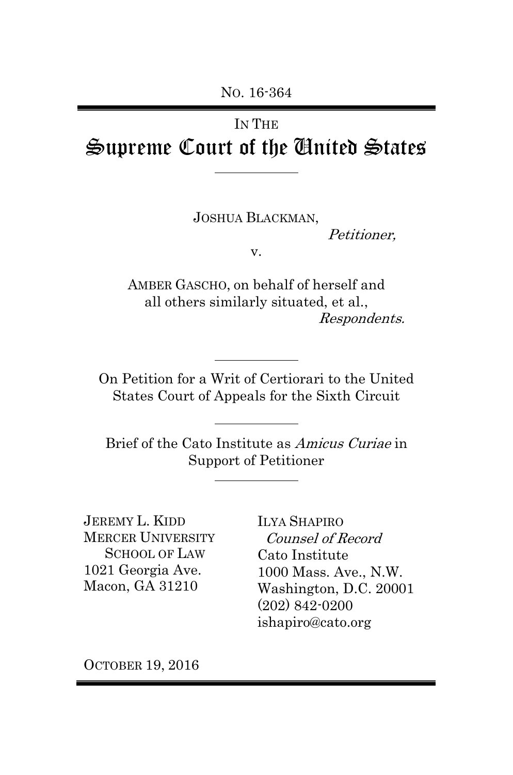# IN THE Supreme Court of the United States

JOSHUA BLACKMAN,

Petitioner,

v.

AMBER GASCHO, on behalf of herself and all others similarly situated, et al., Respondents.

On Petition for a Writ of Certiorari to the United States Court of Appeals for the Sixth Circuit

Brief of the Cato Institute as Amicus Curiae in Support of Petitioner

l,

JEREMY L. KIDD MERCER UNIVERSITY SCHOOL OF LAW 1021 Georgia Ave. Macon, GA 31210

ILYA SHAPIRO Counsel of Record Cato Institute 1000 Mass. Ave., N.W. Washington, D.C. 20001 (202) 842-0200 ishapiro@cato.org

OCTOBER 19, 2016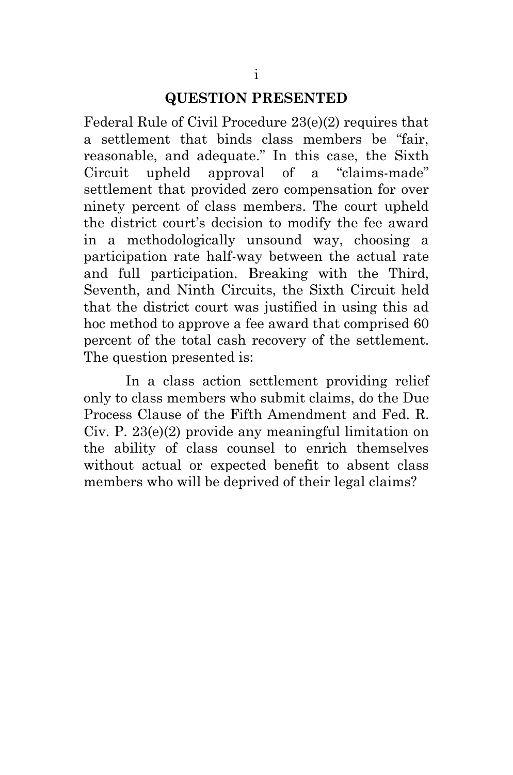#### **QUESTION PRESENTED**

Federal Rule of Civil Procedure 23(e)(2) requires that a settlement that binds class members be "fair, reasonable, and adequate." In this case, the Sixth Circuit upheld approval of a "claims-made" settlement that provided zero compensation for over ninety percent of class members. The court upheld the district court's decision to modify the fee award in a methodologically unsound way, choosing a participation rate half-way between the actual rate and full participation. Breaking with the Third, Seventh, and Ninth Circuits, the Sixth Circuit held that the district court was justified in using this ad hoc method to approve a fee award that comprised 60 percent of the total cash recovery of the settlement. The question presented is:

In a class action settlement providing relief only to class members who submit claims, do the Due Process Clause of the Fifth Amendment and Fed. R. Civ. P. 23(e)(2) provide any meaningful limitation on the ability of class counsel to enrich themselves without actual or expected benefit to absent class members who will be deprived of their legal claims?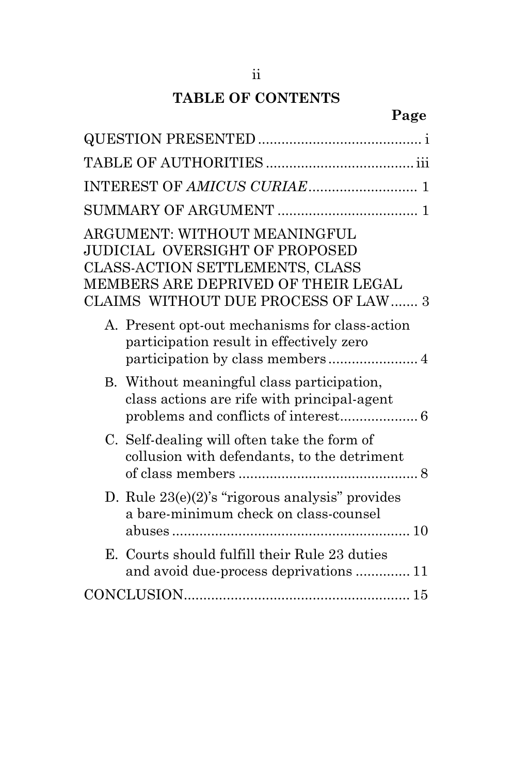## **TABLE OF CONTENTS**

## **Page**

| INTEREST OF AMICUS CURIAE 1                                                                                                                                                                    |
|------------------------------------------------------------------------------------------------------------------------------------------------------------------------------------------------|
|                                                                                                                                                                                                |
| <b>ARGUMENT: WITHOUT MEANINGFUL</b><br><b>JUDICIAL OVERSIGHT OF PROPOSED</b><br>CLASS-ACTION SETTLEMENTS, CLASS<br>MEMBERS ARE DEPRIVED OF THEIR LEGAL<br>CLAIMS WITHOUT DUE PROCESS OF LAW  3 |
| A. Present opt-out mechanisms for class-action<br>participation result in effectively zero                                                                                                     |
| B. Without meaningful class participation,<br>class actions are rife with principal-agent                                                                                                      |
| C. Self-dealing will often take the form of<br>collusion with defendants, to the detriment                                                                                                     |
| D. Rule $23(e)(2)$ 's "rigorous analysis" provides<br>a bare-minimum check on class-counsel                                                                                                    |
| E. Courts should fulfill their Rule 23 duties<br>and avoid due-process deprivations  11                                                                                                        |
|                                                                                                                                                                                                |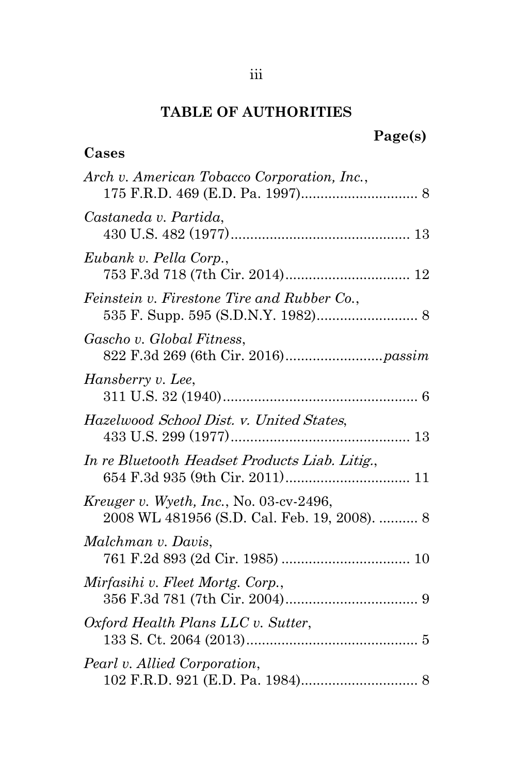#### **TABLE OF AUTHORITIES**

**Cases**

#### **Page(s)**

# *Arch v. American Tobacco Corporation, Inc.*, 175 F.R.D. 469 (E.D. Pa. 1997).............................. 8 *Castaneda v. Partida*, 430 U.S. 482 (1977).............................................. 13 *Eubank v. Pella Corp.*, 753 F.3d 718 (7th Cir. 2014)................................ 12 *Feinstein v. Firestone Tire and Rubber Co.*, 535 F. Supp. 595 (S.D.N.Y. 1982).......................... 8 *Gascho v. Global Fitness*, 822 F.3d 269 (6th Cir. 2016).........................*passim Hansberry v. Lee*, 311 U.S. 32 (1940).................................................. 6 *Hazelwood* School Dist. v. United States, 433 U.S. 299 (1977).............................................. 13 *In re Bluetooth* Headset Products Liab. Litig., 654 F.3d 935 (9th Cir. 2011)................................ 11 *Kreuger v. Wyeth, Inc.*, No. 03-cv-2496, 2008 WL 481956 (S.D. Cal. Feb. 19, 2008). .......... 8 *Malchman v. Davis*, 761 F.2d 893 (2d Cir. 1985) ................................. 10 *Mirfasihi v. Fleet Mortg. Corp.*, 356 F.3d 781 (7th Cir. 2004).................................. 9 *Oxford Health Plans LLC v. Sutter*, 133 S. Ct. 2064 (2013)............................................ 5 *Pearl v. Allied Corporation*,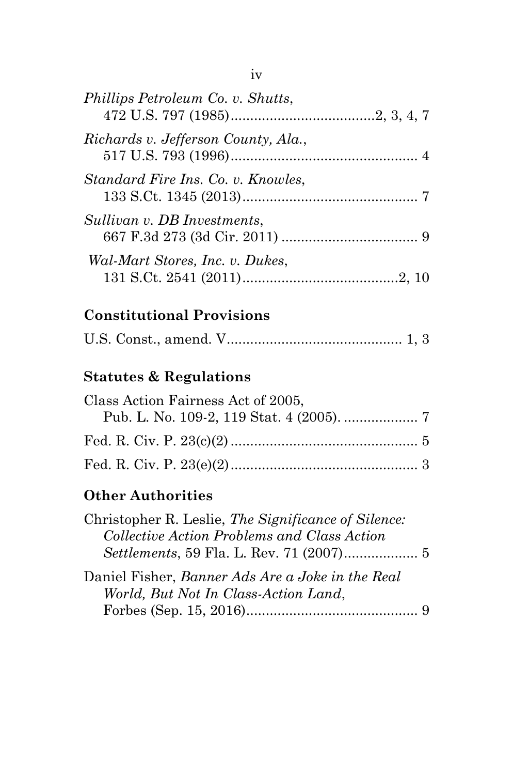| Phillips Petroleum Co. v. Shutts,   |  |
|-------------------------------------|--|
| Richards v. Jefferson County, Ala., |  |
| Standard Fire Ins. Co. v. Knowles,  |  |
| Sullivan v. DB Investments,         |  |
| Wal-Mart Stores, Inc. v. Dukes,     |  |
|                                     |  |

## **Constitutional Provisions**

|--|--|--|--|--|--|

# **Statutes & Regulations**

| Class Action Fairness Act of 2005, |  |
|------------------------------------|--|
|                                    |  |
|                                    |  |
|                                    |  |

## **Other Authorities**

| Christopher R. Leslie, The Significance of Silence: |  |
|-----------------------------------------------------|--|
| Collective Action Problems and Class Action         |  |
|                                                     |  |
| Daniel Fisher, Banner Ads Are a Joke in the Real    |  |
| World, But Not In Class-Action Land,                |  |
|                                                     |  |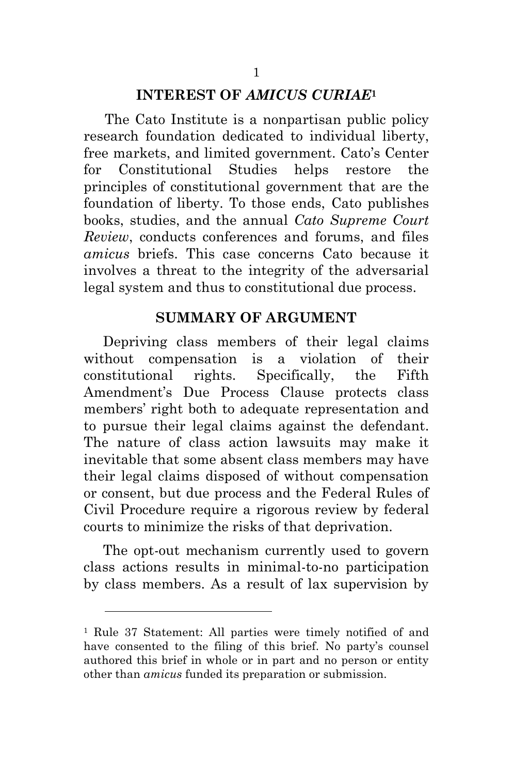#### **INTEREST OF** *AMICUS CURIAE***<sup>1</sup>**

The Cato Institute is a nonpartisan public policy research foundation dedicated to individual liberty, free markets, and limited government. Cato's Center for Constitutional Studies helps restore the principles of constitutional government that are the foundation of liberty. To those ends, Cato publishes books, studies, and the annual *Cato Supreme Court Review*, conducts conferences and forums, and files *amicus* briefs. This case concerns Cato because it involves a threat to the integrity of the adversarial legal system and thus to constitutional due process.

#### **SUMMARY OF ARGUMENT**

Depriving class members of their legal claims without compensation is a violation of their constitutional rights. Specifically, the Fifth Amendment's Due Process Clause protects class members' right both to adequate representation and to pursue their legal claims against the defendant. The nature of class action lawsuits may make it inevitable that some absent class members may have their legal claims disposed of without compensation or consent, but due process and the Federal Rules of Civil Procedure require a rigorous review by federal courts to minimize the risks of that deprivation.

The opt-out mechanism currently used to govern class actions results in minimal-to-no participation by class members. As a result of lax supervision by

 $\overline{a}$ 

<sup>1</sup> Rule 37 Statement: All parties were timely notified of and have consented to the filing of this brief. No party's counsel authored this brief in whole or in part and no person or entity other than *amicus* funded its preparation or submission.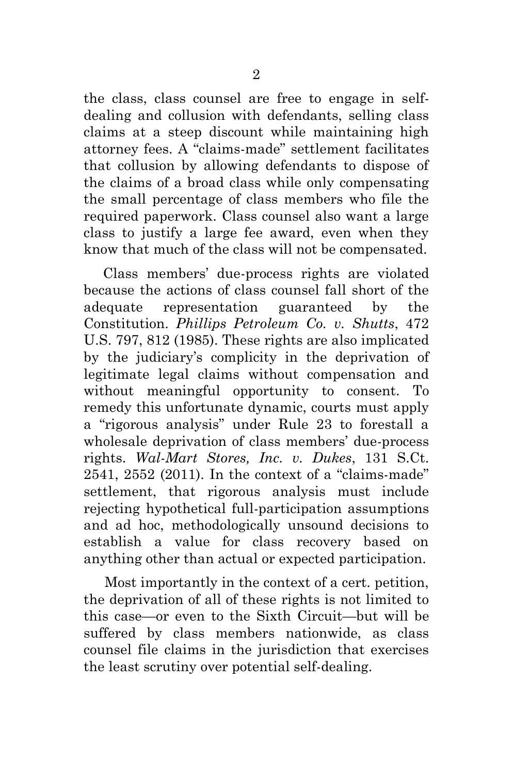the class, class counsel are free to engage in selfdealing and collusion with defendants, selling class claims at a steep discount while maintaining high attorney fees. A "claims-made" settlement facilitates that collusion by allowing defendants to dispose of the claims of a broad class while only compensating the small percentage of class members who file the required paperwork. Class counsel also want a large class to justify a large fee award, even when they know that much of the class will not be compensated.

Class members' due-process rights are violated because the actions of class counsel fall short of the adequate representation guaranteed by the Constitution. *Phillips Petroleum Co. v. Shutts*, 472 U.S. 797, 812 (1985). These rights are also implicated by the judiciary's complicity in the deprivation of legitimate legal claims without compensation and without meaningful opportunity to consent. To remedy this unfortunate dynamic, courts must apply a "rigorous analysis" under Rule 23 to forestall a wholesale deprivation of class members' due-process rights. *Wal-Mart Stores, Inc. v. Dukes*, 131 S.Ct. 2541, 2552 (2011). In the context of a "claims-made" settlement, that rigorous analysis must include rejecting hypothetical full-participation assumptions and ad hoc, methodologically unsound decisions to establish a value for class recovery based on anything other than actual or expected participation.

Most importantly in the context of a cert. petition, the deprivation of all of these rights is not limited to this case—or even to the Sixth Circuit—but will be suffered by class members nationwide, as class counsel file claims in the jurisdiction that exercises the least scrutiny over potential self-dealing.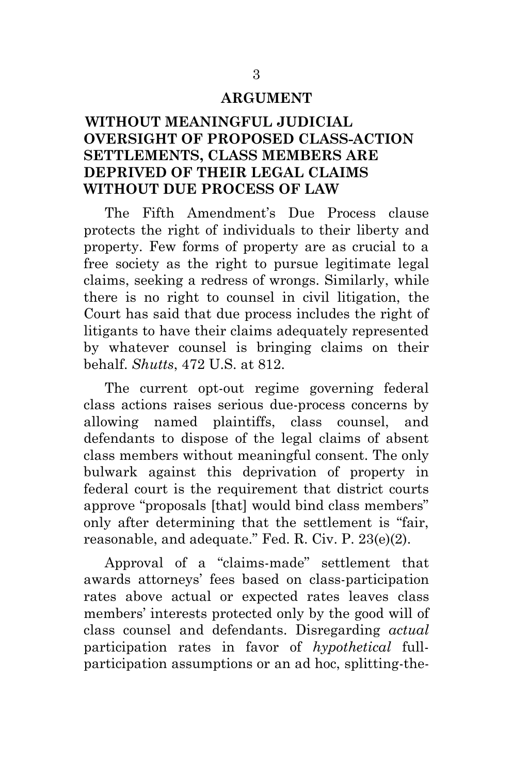#### **ARGUMENT**

### **WITHOUT MEANINGFUL JUDICIAL OVERSIGHT OF PROPOSED CLASS-ACTION SETTLEMENTS, CLASS MEMBERS ARE DEPRIVED OF THEIR LEGAL CLAIMS WITHOUT DUE PROCESS OF LAW**

The Fifth Amendment's Due Process clause protects the right of individuals to their liberty and property. Few forms of property are as crucial to a free society as the right to pursue legitimate legal claims, seeking a redress of wrongs. Similarly, while there is no right to counsel in civil litigation, the Court has said that due process includes the right of litigants to have their claims adequately represented by whatever counsel is bringing claims on their behalf. *Shutts*, 472 U.S. at 812.

The current opt-out regime governing federal class actions raises serious due-process concerns by allowing named plaintiffs, class counsel, and defendants to dispose of the legal claims of absent class members without meaningful consent. The only bulwark against this deprivation of property in federal court is the requirement that district courts approve "proposals [that] would bind class members" only after determining that the settlement is "fair, reasonable, and adequate." Fed. R. Civ. P. 23(e)(2).

Approval of a "claims-made" settlement that awards attorneys' fees based on class-participation rates above actual or expected rates leaves class members' interests protected only by the good will of class counsel and defendants. Disregarding *actual* participation rates in favor of *hypothetical* fullparticipation assumptions or an ad hoc, splitting-the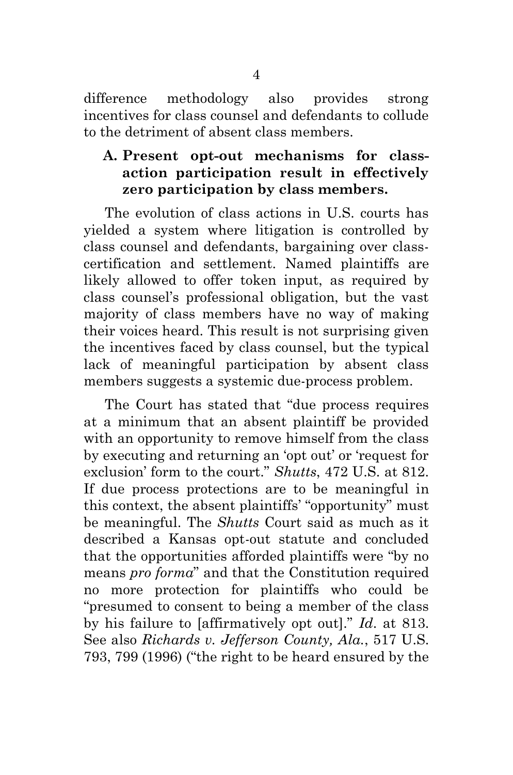difference methodology also provides strong incentives for class counsel and defendants to collude to the detriment of absent class members.

### **A. Present opt-out mechanisms for classaction participation result in effectively zero participation by class members.**

The evolution of class actions in U.S. courts has yielded a system where litigation is controlled by class counsel and defendants, bargaining over classcertification and settlement. Named plaintiffs are likely allowed to offer token input, as required by class counsel's professional obligation, but the vast majority of class members have no way of making their voices heard. This result is not surprising given the incentives faced by class counsel, but the typical lack of meaningful participation by absent class members suggests a systemic due-process problem.

The Court has stated that "due process requires at a minimum that an absent plaintiff be provided with an opportunity to remove himself from the class by executing and returning an 'opt out' or 'request for exclusion' form to the court." *Shutts*, 472 U.S. at 812. If due process protections are to be meaningful in this context, the absent plaintiffs' "opportunity" must be meaningful. The *Shutts* Court said as much as it described a Kansas opt-out statute and concluded that the opportunities afforded plaintiffs were "by no means *pro forma*" and that the Constitution required no more protection for plaintiffs who could be "presumed to consent to being a member of the class by his failure to [affirmatively opt out]." *Id*. at 813. See also *Richards v. Jefferson County, Ala.*, 517 U.S. 793, 799 (1996) ("the right to be heard ensured by the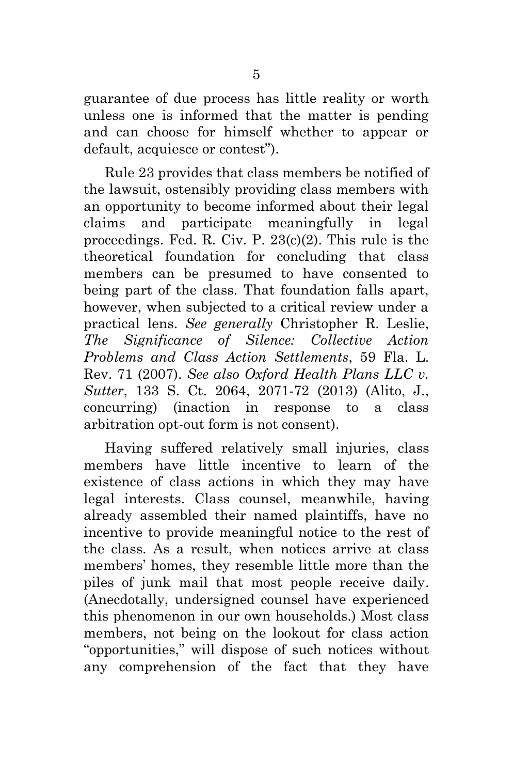guarantee of due process has little reality or worth unless one is informed that the matter is pending and can choose for himself whether to appear or default, acquiesce or contest").

Rule 23 provides that class members be notified of the lawsuit, ostensibly providing class members with an opportunity to become informed about their legal claims and participate meaningfully in legal proceedings. Fed. R. Civ. P. 23(c)(2). This rule is the theoretical foundation for concluding that class members can be presumed to have consented to being part of the class. That foundation falls apart, however, when subjected to a critical review under a practical lens. *See generally* Christopher R. Leslie, *The Significance of Silence: Collective Action Problems and Class Action Settlements*, 59 Fla. L. Rev. 71 (2007). *See also Oxford Health Plans LLC v. Sutter*, 133 S. Ct. 2064, 2071-72 (2013) (Alito, J., concurring) (inaction in response to a class arbitration opt-out form is not consent).

Having suffered relatively small injuries, class members have little incentive to learn of the existence of class actions in which they may have legal interests. Class counsel, meanwhile, having already assembled their named plaintiffs, have no incentive to provide meaningful notice to the rest of the class. As a result, when notices arrive at class members' homes, they resemble little more than the piles of junk mail that most people receive daily. (Anecdotally, undersigned counsel have experienced this phenomenon in our own households.) Most class members, not being on the lookout for class action "opportunities," will dispose of such notices without any comprehension of the fact that they have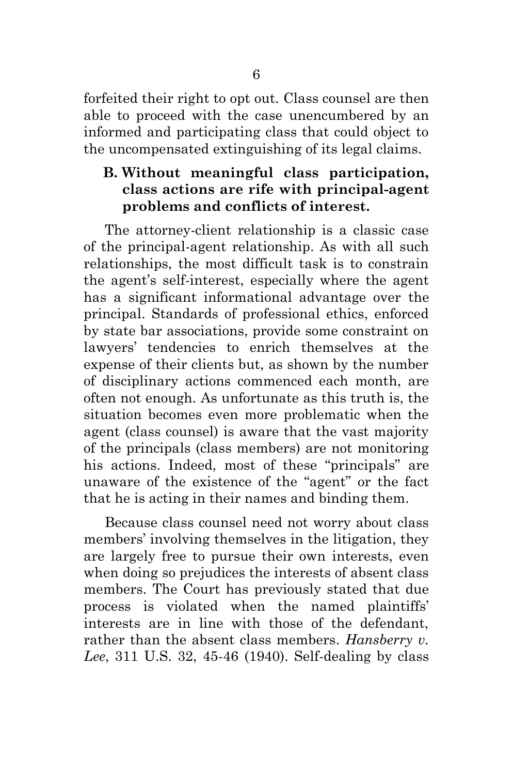forfeited their right to opt out. Class counsel are then able to proceed with the case unencumbered by an informed and participating class that could object to the uncompensated extinguishing of its legal claims.

### **B. Without meaningful class participation, class actions are rife with principal-agent problems and conflicts of interest.**

The attorney-client relationship is a classic case of the principal-agent relationship. As with all such relationships, the most difficult task is to constrain the agent's self-interest, especially where the agent has a significant informational advantage over the principal. Standards of professional ethics, enforced by state bar associations, provide some constraint on lawyers' tendencies to enrich themselves at the expense of their clients but, as shown by the number of disciplinary actions commenced each month, are often not enough. As unfortunate as this truth is, the situation becomes even more problematic when the agent (class counsel) is aware that the vast majority of the principals (class members) are not monitoring his actions. Indeed, most of these "principals" are unaware of the existence of the "agent" or the fact that he is acting in their names and binding them.

Because class counsel need not worry about class members' involving themselves in the litigation, they are largely free to pursue their own interests, even when doing so prejudices the interests of absent class members. The Court has previously stated that due process is violated when the named plaintiffs' interests are in line with those of the defendant, rather than the absent class members. *Hansberry v. Lee*, 311 U.S. 32, 45-46 (1940). Self-dealing by class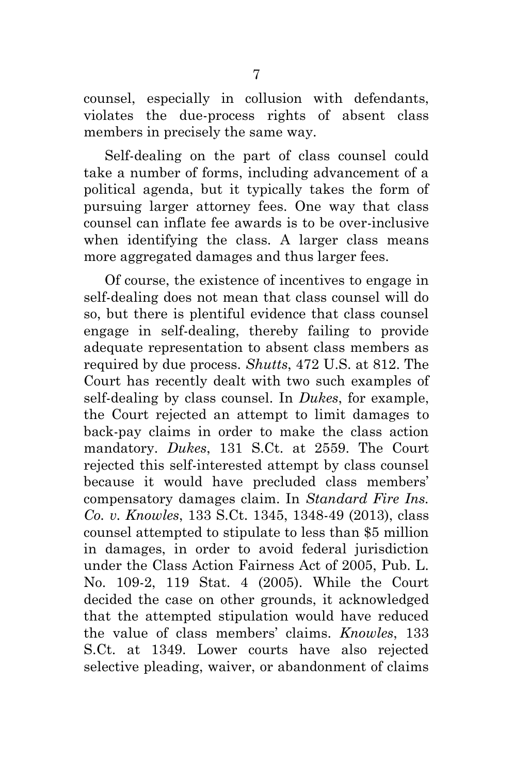counsel, especially in collusion with defendants, violates the due-process rights of absent class members in precisely the same way.

Self-dealing on the part of class counsel could take a number of forms, including advancement of a political agenda, but it typically takes the form of pursuing larger attorney fees. One way that class counsel can inflate fee awards is to be over-inclusive when identifying the class. A larger class means more aggregated damages and thus larger fees.

Of course, the existence of incentives to engage in self-dealing does not mean that class counsel will do so, but there is plentiful evidence that class counsel engage in self-dealing, thereby failing to provide adequate representation to absent class members as required by due process. *Shutts*, 472 U.S. at 812. The Court has recently dealt with two such examples of self-dealing by class counsel. In *Dukes*, for example, the Court rejected an attempt to limit damages to back-pay claims in order to make the class action mandatory. *Dukes*, 131 S.Ct. at 2559. The Court rejected this self-interested attempt by class counsel because it would have precluded class members' compensatory damages claim. In *Standard Fire Ins. Co. v. Knowles*, 133 S.Ct. 1345, 1348-49 (2013), class counsel attempted to stipulate to less than \$5 million in damages, in order to avoid federal jurisdiction under the Class Action Fairness Act of 2005, Pub. L. No. 109-2, 119 Stat. 4 (2005). While the Court decided the case on other grounds, it acknowledged that the attempted stipulation would have reduced the value of class members' claims. *Knowles*, 133 S.Ct. at 1349. Lower courts have also rejected selective pleading, waiver, or abandonment of claims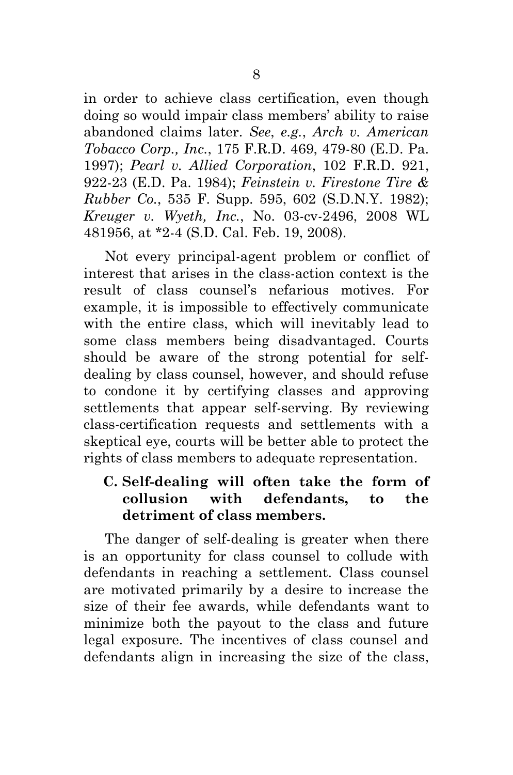in order to achieve class certification, even though doing so would impair class members' ability to raise abandoned claims later. *See*, *e.g.*, *Arch v. American Tobacco Corp., Inc.*, 175 F.R.D. 469, 479-80 (E.D. Pa. 1997); *Pearl v. Allied Corporation*, 102 F.R.D. 921, 922-23 (E.D. Pa. 1984); *Feinstein v. Firestone Tire & Rubber Co.*, 535 F. Supp. 595, 602 (S.D.N.Y. 1982); *Kreuger v. Wyeth, Inc.*, No. 03-cv-2496, 2008 WL 481956, at \*2-4 (S.D. Cal. Feb. 19, 2008).

Not every principal-agent problem or conflict of interest that arises in the class-action context is the result of class counsel's nefarious motives. For example, it is impossible to effectively communicate with the entire class, which will inevitably lead to some class members being disadvantaged. Courts should be aware of the strong potential for selfdealing by class counsel, however, and should refuse to condone it by certifying classes and approving settlements that appear self-serving. By reviewing class-certification requests and settlements with a skeptical eye, courts will be better able to protect the rights of class members to adequate representation.

## **C. Self-dealing will often take the form of collusion with defendants, to the detriment of class members.**

The danger of self-dealing is greater when there is an opportunity for class counsel to collude with defendants in reaching a settlement. Class counsel are motivated primarily by a desire to increase the size of their fee awards, while defendants want to minimize both the payout to the class and future legal exposure. The incentives of class counsel and defendants align in increasing the size of the class,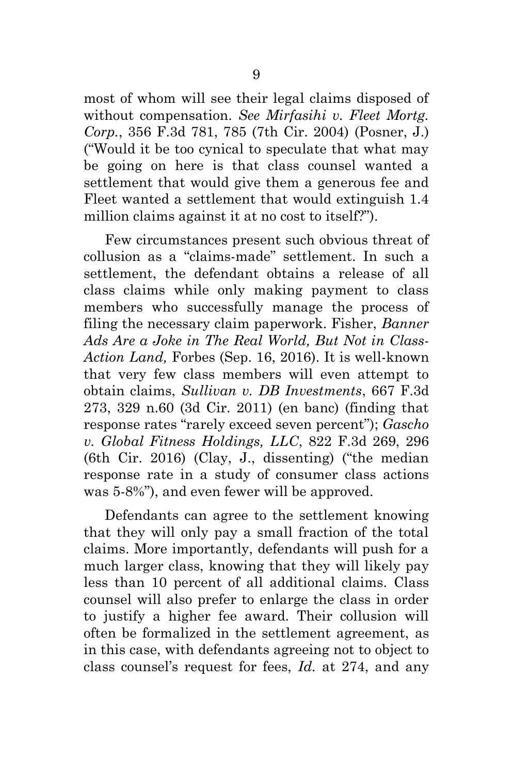most of whom will see their legal claims disposed of without compensation. *See Mirfasihi v. Fleet Mortg. Corp.*, 356 F.3d 781, 785 (7th Cir. 2004) (Posner, J.) ("Would it be too cynical to speculate that what may be going on here is that class counsel wanted a settlement that would give them a generous fee and Fleet wanted a settlement that would extinguish 1.4 million claims against it at no cost to itself?").

Few circumstances present such obvious threat of collusion as a "claims-made" settlement. In such a settlement, the defendant obtains a release of all class claims while only making payment to class members who successfully manage the process of filing the necessary claim paperwork. Fisher, *Banner Ads Are a Joke in The Real World, But Not in Class-Action Land,* Forbes (Sep. 16, 2016). It is well-known that very few class members will even attempt to obtain claims, *Sullivan v. DB Investments*, 667 F.3d 273, 329 n.60 (3d Cir. 2011) (en banc) (finding that response rates "rarely exceed seven percent"); *Gascho v. Global Fitness Holdings, LLC*, 822 F.3d 269, 296 (6th Cir. 2016) (Clay, J., dissenting) ("the median response rate in a study of consumer class actions was 5-8%"), and even fewer will be approved.

Defendants can agree to the settlement knowing that they will only pay a small fraction of the total claims. More importantly, defendants will push for a much larger class, knowing that they will likely pay less than 10 percent of all additional claims. Class counsel will also prefer to enlarge the class in order to justify a higher fee award. Their collusion will often be formalized in the settlement agreement, as in this case, with defendants agreeing not to object to class counsel's request for fees, *Id.* at 274, and any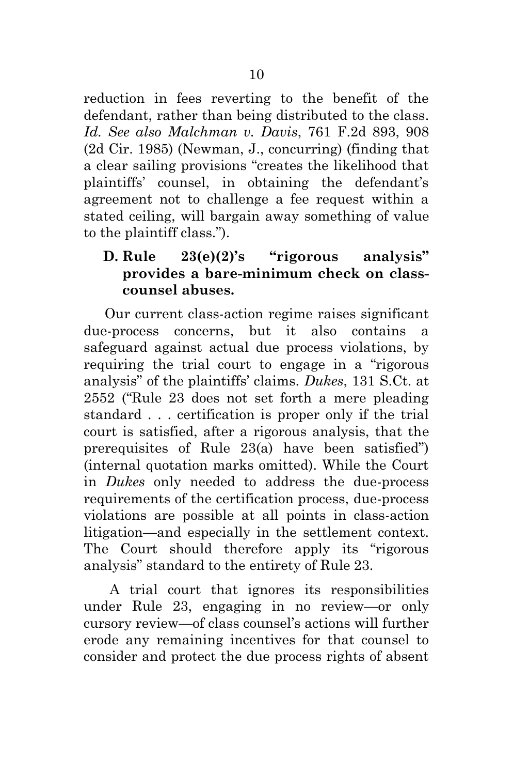reduction in fees reverting to the benefit of the defendant, rather than being distributed to the class. *Id. See also Malchman v. Davis*, 761 F.2d 893, 908 (2d Cir. 1985) (Newman, J., concurring) (finding that a clear sailing provisions "creates the likelihood that plaintiffs' counsel, in obtaining the defendant's agreement not to challenge a fee request within a stated ceiling, will bargain away something of value to the plaintiff class.").

## **D. Rule 23(e)(2)'s "rigorous analysis" provides a bare-minimum check on classcounsel abuses.**

Our current class-action regime raises significant due-process concerns, but it also contains a safeguard against actual due process violations, by requiring the trial court to engage in a "rigorous analysis" of the plaintiffs' claims. *Dukes*, 131 S.Ct. at 2552 ("Rule 23 does not set forth a mere pleading standard . . . certification is proper only if the trial court is satisfied, after a rigorous analysis, that the prerequisites of Rule 23(a) have been satisfied") (internal quotation marks omitted). While the Court in *Dukes* only needed to address the due-process requirements of the certification process, due-process violations are possible at all points in class-action litigation—and especially in the settlement context. The Court should therefore apply its "rigorous analysis" standard to the entirety of Rule 23.

A trial court that ignores its responsibilities under Rule 23, engaging in no review—or only cursory review—of class counsel's actions will further erode any remaining incentives for that counsel to consider and protect the due process rights of absent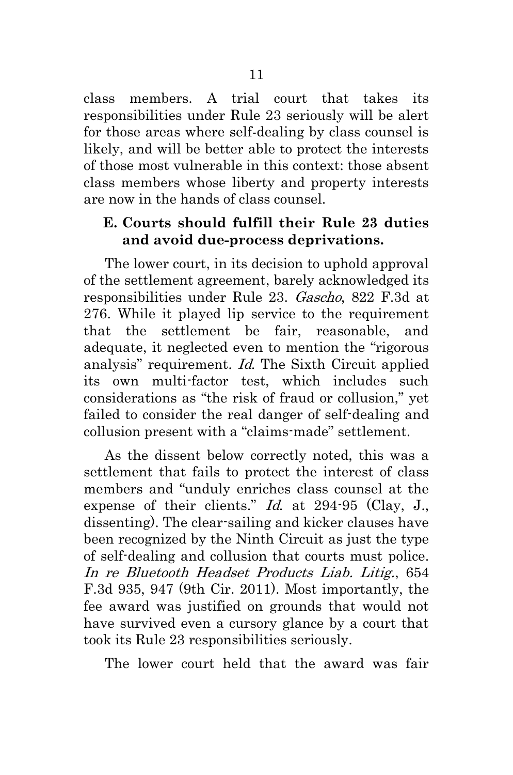class members. A trial court that takes its responsibilities under Rule 23 seriously will be alert for those areas where self-dealing by class counsel is likely, and will be better able to protect the interests of those most vulnerable in this context: those absent class members whose liberty and property interests are now in the hands of class counsel.

### **E. Courts should fulfill their Rule 23 duties and avoid due-process deprivations.**

The lower court, in its decision to uphold approval of the settlement agreement, barely acknowledged its responsibilities under Rule 23. Gascho, 822 F.3d at 276. While it played lip service to the requirement that the settlement be fair, reasonable, and adequate, it neglected even to mention the "rigorous analysis" requirement. Id. The Sixth Circuit applied its own multi-factor test, which includes such considerations as "the risk of fraud or collusion," yet failed to consider the real danger of self-dealing and collusion present with a "claims-made" settlement.

As the dissent below correctly noted, this was a settlement that fails to protect the interest of class members and "unduly enriches class counsel at the expense of their clients." *Id.* at 294-95 (Clay, J., dissenting). The clear-sailing and kicker clauses have been recognized by the Ninth Circuit as just the type of self-dealing and collusion that courts must police. In re Bluetooth Headset Products Liab. Litig., 654 F.3d 935, 947 (9th Cir. 2011). Most importantly, the fee award was justified on grounds that would not have survived even a cursory glance by a court that took its Rule 23 responsibilities seriously.

The lower court held that the award was fair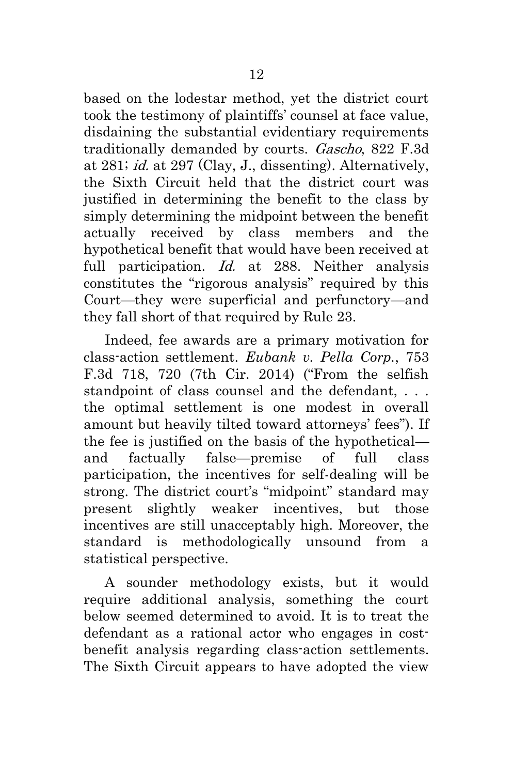based on the lodestar method, yet the district court took the testimony of plaintiffs' counsel at face value, disdaining the substantial evidentiary requirements traditionally demanded by courts. Gascho, 822 F.3d at 281; id. at 297 (Clay, J., dissenting). Alternatively, the Sixth Circuit held that the district court was justified in determining the benefit to the class by simply determining the midpoint between the benefit actually received by class members and the hypothetical benefit that would have been received at full participation. *Id.* at 288. Neither analysis constitutes the "rigorous analysis" required by this Court—they were superficial and perfunctory—and they fall short of that required by Rule 23.

Indeed, fee awards are a primary motivation for class-action settlement. *Eubank v. Pella Corp.*, 753 F.3d 718, 720 (7th Cir. 2014) ("From the selfish standpoint of class counsel and the defendant, . . . the optimal settlement is one modest in overall amount but heavily tilted toward attorneys' fees"). If the fee is justified on the basis of the hypothetical and factually false—premise of full class participation, the incentives for self-dealing will be strong. The district court's "midpoint" standard may present slightly weaker incentives, but those incentives are still unacceptably high. Moreover, the standard is methodologically unsound from a statistical perspective.

A sounder methodology exists, but it would require additional analysis, something the court below seemed determined to avoid. It is to treat the defendant as a rational actor who engages in costbenefit analysis regarding class-action settlements. The Sixth Circuit appears to have adopted the view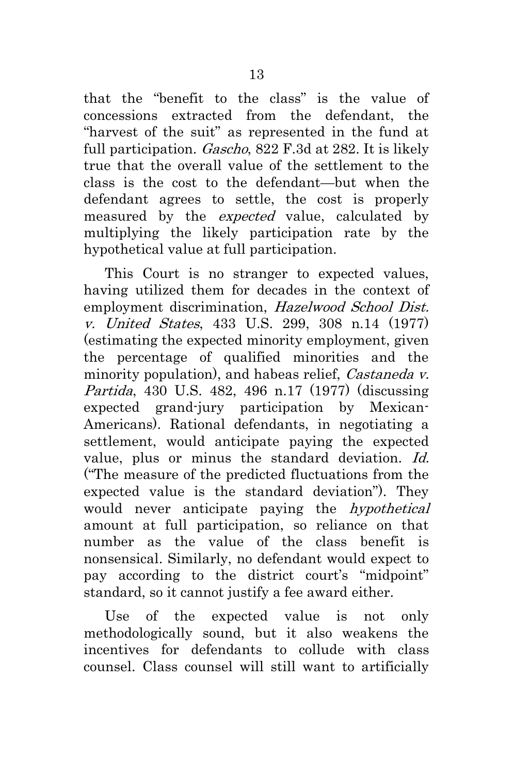that the "benefit to the class" is the value of concessions extracted from the defendant, the "harvest of the suit" as represented in the fund at full participation. *Gascho*, 822 F.3d at 282. It is likely true that the overall value of the settlement to the class is the cost to the defendant—but when the defendant agrees to settle, the cost is properly measured by the *expected* value, calculated by multiplying the likely participation rate by the hypothetical value at full participation.

This Court is no stranger to expected values, having utilized them for decades in the context of employment discrimination, Hazelwood School Dist. v. United States, 433 U.S. 299, 308 n.14 (1977) (estimating the expected minority employment, given the percentage of qualified minorities and the minority population), and habeas relief, *Castaneda v.* Partida, 430 U.S. 482, 496 n.17 (1977) (discussing expected grand-jury participation by Mexican-Americans). Rational defendants, in negotiating a settlement, would anticipate paying the expected value, plus or minus the standard deviation. Id. ("The measure of the predicted fluctuations from the expected value is the standard deviation"). They would never anticipate paying the hypothetical amount at full participation, so reliance on that number as the value of the class benefit is nonsensical. Similarly, no defendant would expect to pay according to the district court's "midpoint" standard, so it cannot justify a fee award either.

Use of the expected value is not only methodologically sound, but it also weakens the incentives for defendants to collude with class counsel. Class counsel will still want to artificially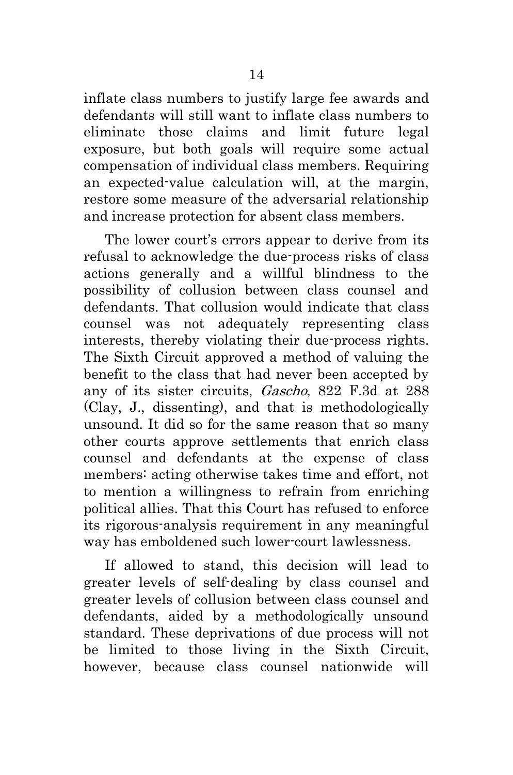inflate class numbers to justify large fee awards and defendants will still want to inflate class numbers to eliminate those claims and limit future legal exposure, but both goals will require some actual compensation of individual class members. Requiring an expected-value calculation will, at the margin, restore some measure of the adversarial relationship and increase protection for absent class members.

The lower court's errors appear to derive from its refusal to acknowledge the due-process risks of class actions generally and a willful blindness to the possibility of collusion between class counsel and defendants. That collusion would indicate that class counsel was not adequately representing class interests, thereby violating their due-process rights. The Sixth Circuit approved a method of valuing the benefit to the class that had never been accepted by any of its sister circuits, Gascho, 822 F.3d at 288 (Clay, J., dissenting), and that is methodologically unsound. It did so for the same reason that so many other courts approve settlements that enrich class counsel and defendants at the expense of class members: acting otherwise takes time and effort, not to mention a willingness to refrain from enriching political allies. That this Court has refused to enforce its rigorous-analysis requirement in any meaningful way has emboldened such lower-court lawlessness.

If allowed to stand, this decision will lead to greater levels of self-dealing by class counsel and greater levels of collusion between class counsel and defendants, aided by a methodologically unsound standard. These deprivations of due process will not be limited to those living in the Sixth Circuit, however, because class counsel nationwide will